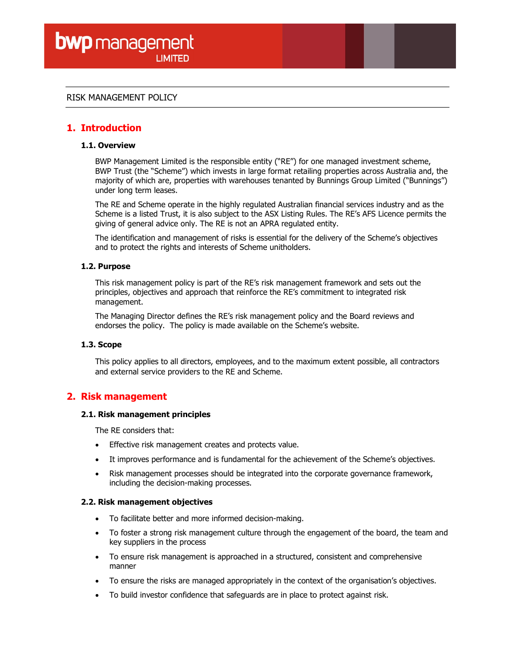## RISK MANAGEMENT POLICY

# 1. Introduction

### 1.1. Overview

BWP Management Limited is the responsible entity ("RE") for one managed investment scheme, BWP Trust (the "Scheme") which invests in large format retailing properties across Australia and, the majority of which are, properties with warehouses tenanted by Bunnings Group Limited ("Bunnings") under long term leases.

The RE and Scheme operate in the highly regulated Australian financial services industry and as the Scheme is a listed Trust, it is also subject to the ASX Listing Rules. The RE's AFS Licence permits the giving of general advice only. The RE is not an APRA regulated entity.

The identification and management of risks is essential for the delivery of the Scheme's objectives and to protect the rights and interests of Scheme unitholders.

#### 1.2. Purpose

This risk management policy is part of the RE's risk management framework and sets out the principles, objectives and approach that reinforce the RE's commitment to integrated risk management.

The Managing Director defines the RE's risk management policy and the Board reviews and endorses the policy. The policy is made available on the Scheme's website.

#### 1.3. Scope

This policy applies to all directors, employees, and to the maximum extent possible, all contractors and external service providers to the RE and Scheme.

## 2. Risk management

#### 2.1. Risk management principles

The RE considers that:

- Effective risk management creates and protects value.
- It improves performance and is fundamental for the achievement of the Scheme's objectives.
- Risk management processes should be integrated into the corporate governance framework, including the decision-making processes.

#### 2.2. Risk management objectives

- To facilitate better and more informed decision-making.
- To foster a strong risk management culture through the engagement of the board, the team and key suppliers in the process
- To ensure risk management is approached in a structured, consistent and comprehensive manner
- To ensure the risks are managed appropriately in the context of the organisation's objectives.
- To build investor confidence that safeguards are in place to protect against risk.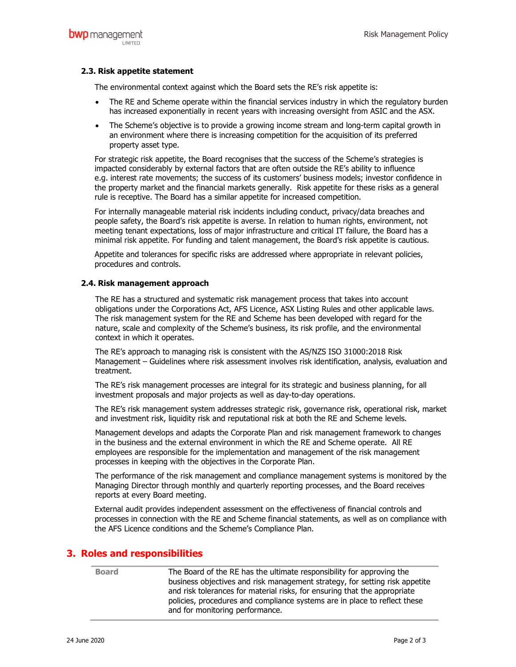## 2.3. Risk appetite statement

The environmental context against which the Board sets the RE's risk appetite is:

- The RE and Scheme operate within the financial services industry in which the regulatory burden has increased exponentially in recent years with increasing oversight from ASIC and the ASX.
- The Scheme's objective is to provide a growing income stream and long-term capital growth in an environment where there is increasing competition for the acquisition of its preferred property asset type.

For strategic risk appetite, the Board recognises that the success of the Scheme's strategies is impacted considerably by external factors that are often outside the RE's ability to influence e.g. interest rate movements; the success of its customers' business models; investor confidence in the property market and the financial markets generally. Risk appetite for these risks as a general rule is receptive. The Board has a similar appetite for increased competition.

For internally manageable material risk incidents including conduct, privacy/data breaches and people safety, the Board's risk appetite is averse. In relation to human rights, environment, not meeting tenant expectations, loss of major infrastructure and critical IT failure, the Board has a minimal risk appetite. For funding and talent management, the Board's risk appetite is cautious.

Appetite and tolerances for specific risks are addressed where appropriate in relevant policies, procedures and controls.

## 2.4. Risk management approach

The RE has a structured and systematic risk management process that takes into account obligations under the Corporations Act, AFS Licence, ASX Listing Rules and other applicable laws. The risk management system for the RE and Scheme has been developed with regard for the nature, scale and complexity of the Scheme's business, its risk profile, and the environmental context in which it operates.

The RE's approach to managing risk is consistent with the AS/NZS ISO 31000:2018 Risk Management – Guidelines where risk assessment involves risk identification, analysis, evaluation and treatment.

The RE's risk management processes are integral for its strategic and business planning, for all investment proposals and major projects as well as day-to-day operations.

The RE's risk management system addresses strategic risk, governance risk, operational risk, market and investment risk, liquidity risk and reputational risk at both the RE and Scheme levels.

Management develops and adapts the Corporate Plan and risk management framework to changes in the business and the external environment in which the RE and Scheme operate. All RE employees are responsible for the implementation and management of the risk management processes in keeping with the objectives in the Corporate Plan.

The performance of the risk management and compliance management systems is monitored by the Managing Director through monthly and quarterly reporting processes, and the Board receives reports at every Board meeting.

External audit provides independent assessment on the effectiveness of financial controls and processes in connection with the RE and Scheme financial statements, as well as on compliance with the AFS Licence conditions and the Scheme's Compliance Plan.

## 3. Roles and responsibilities

| i | $\sim$ |  |  |
|---|--------|--|--|
|   |        |  |  |

Board The Board of the RE has the ultimate responsibility for approving the business objectives and risk management strategy, for setting risk appetite and risk tolerances for material risks, for ensuring that the appropriate policies, procedures and compliance systems are in place to reflect these and for monitoring performance.